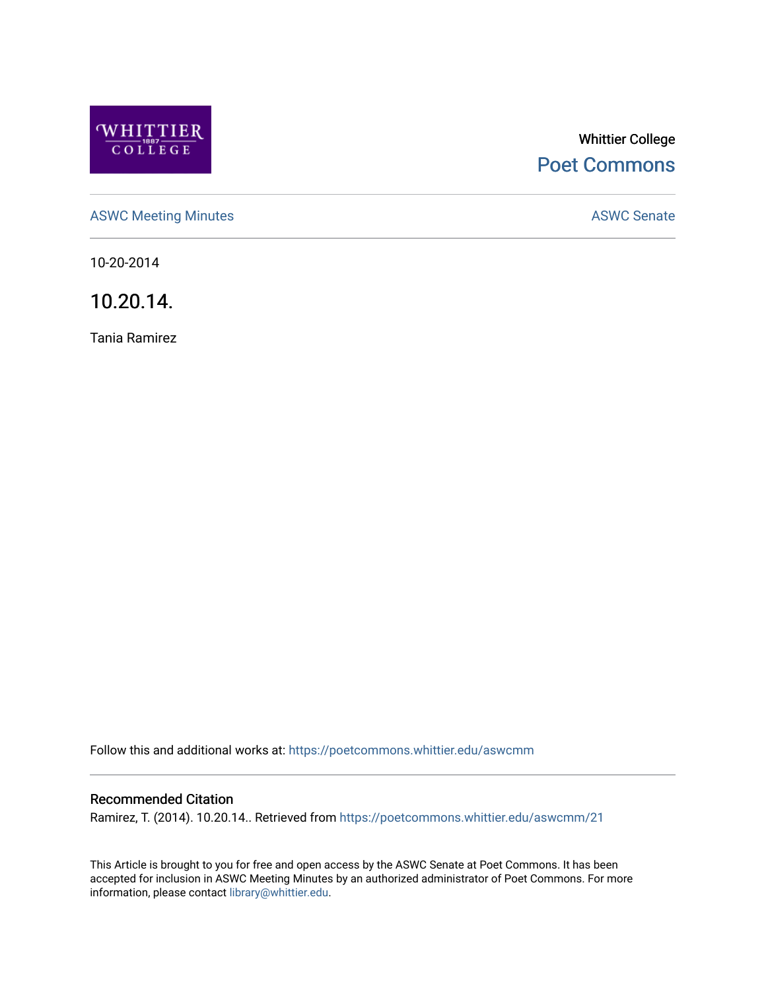

# Whittier College [Poet Commons](https://poetcommons.whittier.edu/)

[ASWC Meeting Minutes](https://poetcommons.whittier.edu/aswcmm) **ASWC Senate** 

10-20-2014

10.20.14.

Tania Ramirez

Follow this and additional works at: [https://poetcommons.whittier.edu/aswcmm](https://poetcommons.whittier.edu/aswcmm?utm_source=poetcommons.whittier.edu%2Faswcmm%2F21&utm_medium=PDF&utm_campaign=PDFCoverPages)

## Recommended Citation

Ramirez, T. (2014). 10.20.14.. Retrieved from [https://poetcommons.whittier.edu/aswcmm/21](https://poetcommons.whittier.edu/aswcmm/21?utm_source=poetcommons.whittier.edu%2Faswcmm%2F21&utm_medium=PDF&utm_campaign=PDFCoverPages)

This Article is brought to you for free and open access by the ASWC Senate at Poet Commons. It has been accepted for inclusion in ASWC Meeting Minutes by an authorized administrator of Poet Commons. For more information, please contact [library@whittier.edu.](mailto:library@whittier.edu)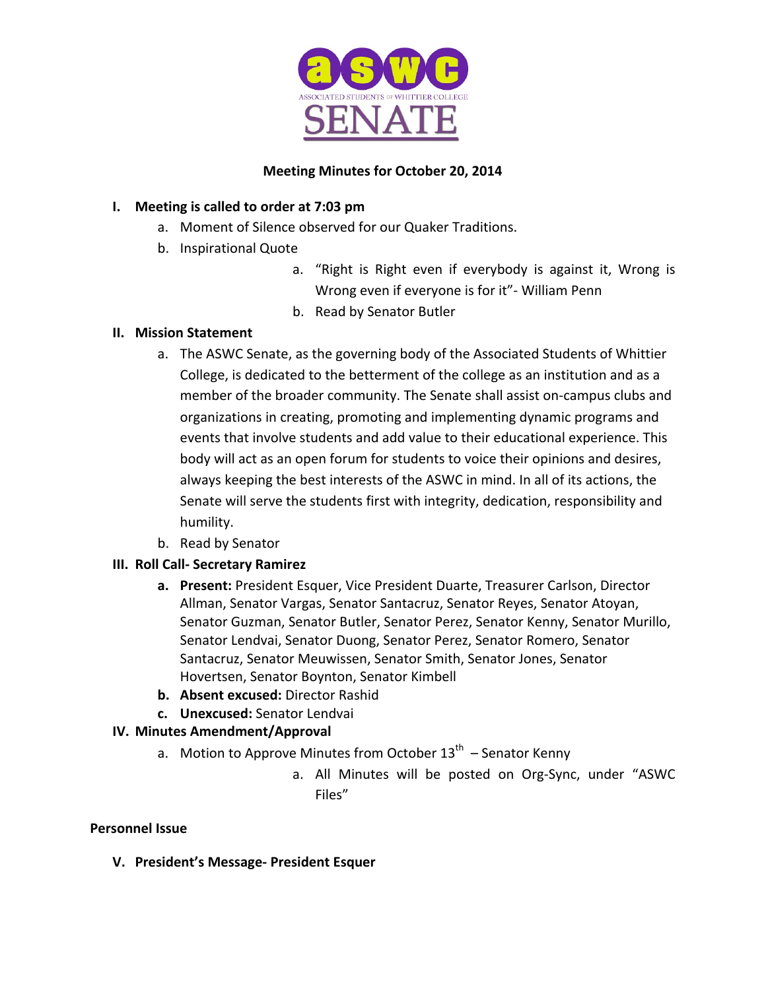

## **Meeting Minutes for October 20, 2014**

# **I.** Meeting is called to order at 7:03 pm

- a. Moment of Silence observed for our Quaker Traditions.
- b. Inspirational Quote
	- a. "Right is Right even if everybody is against it, Wrong is Wrong even if everyone is for it"- William Penn
	- b. Read by Senator Butler

## **II. Mission Statement**

- a. The ASWC Senate, as the governing body of the Associated Students of Whittier College, is dedicated to the betterment of the college as an institution and as a member of the broader community. The Senate shall assist on-campus clubs and organizations in creating, promoting and implementing dynamic programs and events that involve students and add value to their educational experience. This body will act as an open forum for students to voice their opinions and desires, always keeping the best interests of the ASWC in mind. In all of its actions, the Senate will serve the students first with integrity, dedication, responsibility and humility.
- b. Read by Senator

# **III. Roll Call- Secretary Ramirez**

- **a.** Present: President Esquer, Vice President Duarte, Treasurer Carlson, Director Allman, Senator Vargas, Senator Santacruz, Senator Reyes, Senator Atoyan, Senator Guzman, Senator Butler, Senator Perez, Senator Kenny, Senator Murillo, Senator Lendvai, Senator Duong, Senator Perez, Senator Romero, Senator Santacruz, Senator Meuwissen, Senator Smith, Senator Jones, Senator Hovertsen, Senator Boynton, Senator Kimbell
- **b.** Absent excused: Director Rashid
- **c. Unexcused:** Senator Lendvai

# **IV. Minutes Amendment/Approval**

- a. Motion to Approve Minutes from October  $13<sup>th</sup>$  Senator Kenny
	- a. All Minutes will be posted on Org-Sync, under "ASWC Files"

## **Personnel Issue**

**V. President's Message- President Esquer**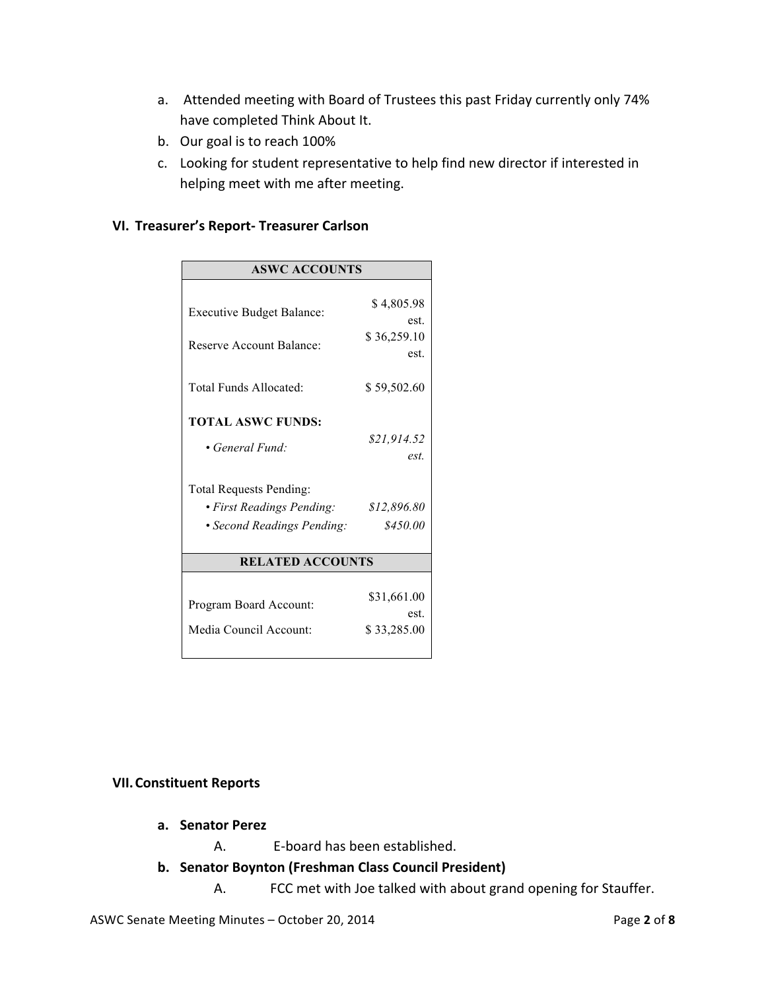- a. Attended meeting with Board of Trustees this past Friday currently only 74% have completed Think About It.
- b. Our goal is to reach 100%
- c. Looking for student representative to help find new director if interested in helping meet with me after meeting.

## **VI. Treasurer's Report- Treasurer Carlson**

| <b>ASWC ACCOUNTS</b>             |                     |
|----------------------------------|---------------------|
|                                  |                     |
| <b>Executive Budget Balance:</b> | \$4,805.98          |
|                                  | est.                |
| Reserve Account Balance:         | \$36,259.10<br>est. |
|                                  |                     |
| Total Funds Allocated:           | \$59,502.60         |
|                                  |                     |
| <b>TOTAL ASWC FUNDS:</b>         |                     |
| • General Fund:                  | \$21,914.52         |
|                                  | est.                |
| Total Requests Pending:          |                     |
| • First Readings Pending:        | \$12,896.80         |
| • Second Readings Pending:       | \$450.00            |
|                                  |                     |
| <b>RELATED ACCOUNTS</b>          |                     |
|                                  |                     |
| Program Board Account:           | \$31,661.00         |
|                                  | est.                |
| Media Council Account:           | \$33,285.00         |
|                                  |                     |

#### **VII. Constituent Reports**

- **a. Senator Perez**
	- A. E-board has been established.
- **b. Senator Boynton (Freshman Class Council President)**
	- A. FCC met with Joe talked with about grand opening for Stauffer.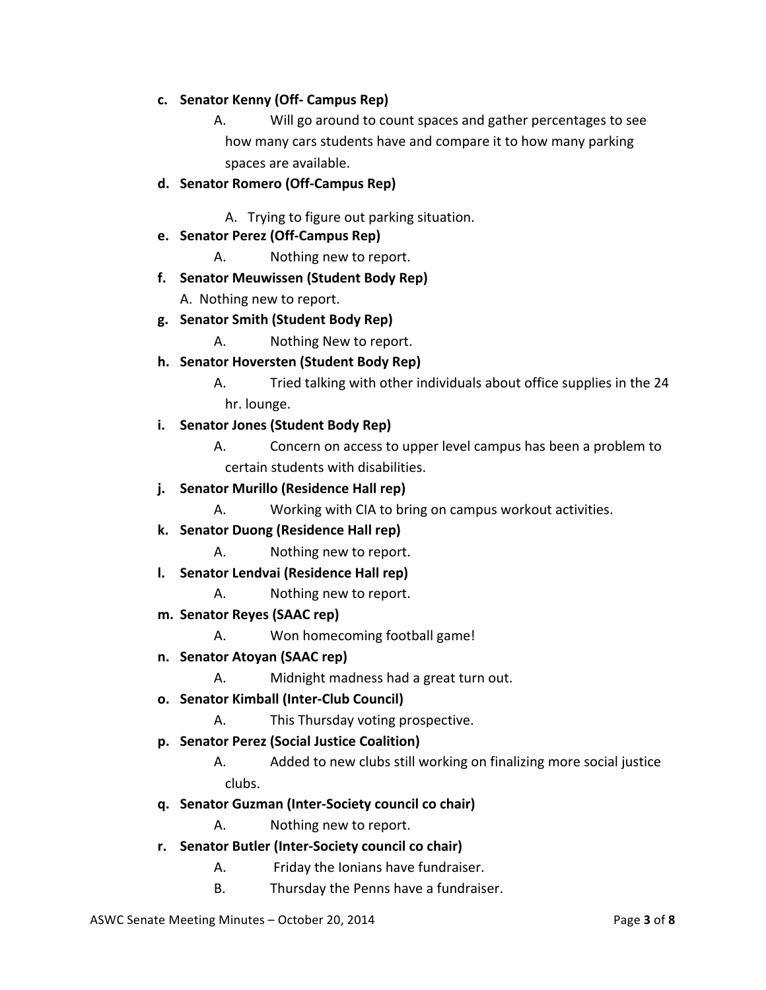- **c. Senator Kenny (Off- Campus Rep)**
	- A. Will go around to count spaces and gather percentages to see how many cars students have and compare it to how many parking spaces are available.
- **d. Senator Romero (Off-Campus Rep)**

A. Trying to figure out parking situation.

- **e. Senator Perez (Off-Campus Rep)**
	- A. Nothing new to report.
- **f. Senator Meuwissen (Student Body Rep)**

A. Nothing new to report.

- **g. Senator Smith (Student Body Rep)**
	- A. Nothing New to report.
- **h. Senator Hoversten (Student Body Rep)**
	- A. Tried talking with other individuals about office supplies in the 24 hr. lounge.
- **i. Senator Jones (Student Body Rep)**
	- A. Concern on access to upper level campus has been a problem to certain students with disabilities.
- **j.** Senator Murillo (Residence Hall rep)
	- A. Working with CIA to bring on campus workout activities.
- **k. Senator Duong (Residence Hall rep)**
	- A. Nothing new to report.
- **l. Senator Lendvai (Residence Hall rep)**
	- A. Nothing new to report.
- **m. Senator Reyes (SAAC rep)**
	- A. Won homecoming football game!
- **n. Senator Atoyan (SAAC rep)**
	- A. Midnight madness had a great turn out.
- **o. Senator Kimball (Inter-Club Council)**
	- A. This Thursday voting prospective.
- **p. Senator Perez (Social Justice Coalition)**
	- A. Added to new clubs still working on finalizing more social justice clubs.
- **q. Senator Guzman (Inter-Society council co chair)**
	- A. Nothing new to report.
- **r. Senator Butler (Inter-Society council co chair)**
	- A. Friday the Ionians have fundraiser.
	- B. Thursday the Penns have a fundraiser.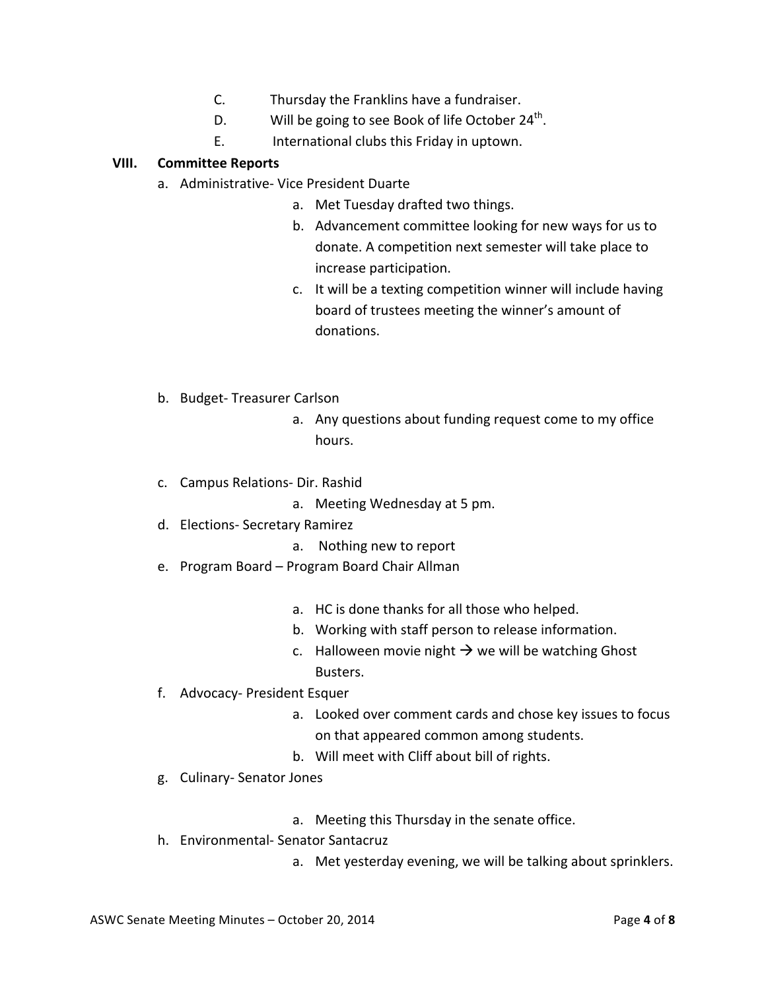- C. Thursday the Franklins have a fundraiser.
- D. Will be going to see Book of life October  $24<sup>th</sup>$ .
- E. International clubs this Friday in uptown.

## **VIII. Committee Reports**

- a. Administrative- Vice President Duarte
	- a. Met Tuesday drafted two things.
	- b. Advancement committee looking for new ways for us to donate. A competition next semester will take place to increase participation.
	- c. It will be a texting competition winner will include having board of trustees meeting the winner's amount of donations.
- b. Budget- Treasurer Carlson
	- a. Any questions about funding request come to my office hours.
- c. Campus Relations- Dir. Rashid
	- a. Meeting Wednesday at 5 pm.
- d. Elections- Secretary Ramirez
	- a. Nothing new to report
- e. Program Board Program Board Chair Allman
	- a. HC is done thanks for all those who helped.
	- b. Working with staff person to release information.
	- c. Halloween movie night  $\rightarrow$  we will be watching Ghost Busters.
- f. Advocacy- President Esquer
	- a. Looked over comment cards and chose key issues to focus on that appeared common among students.
	- b. Will meet with Cliff about bill of rights.
- g. Culinary- Senator Jones
	- a. Meeting this Thursday in the senate office.
- h. Environmental- Senator Santacruz
	- a. Met yesterday evening, we will be talking about sprinklers.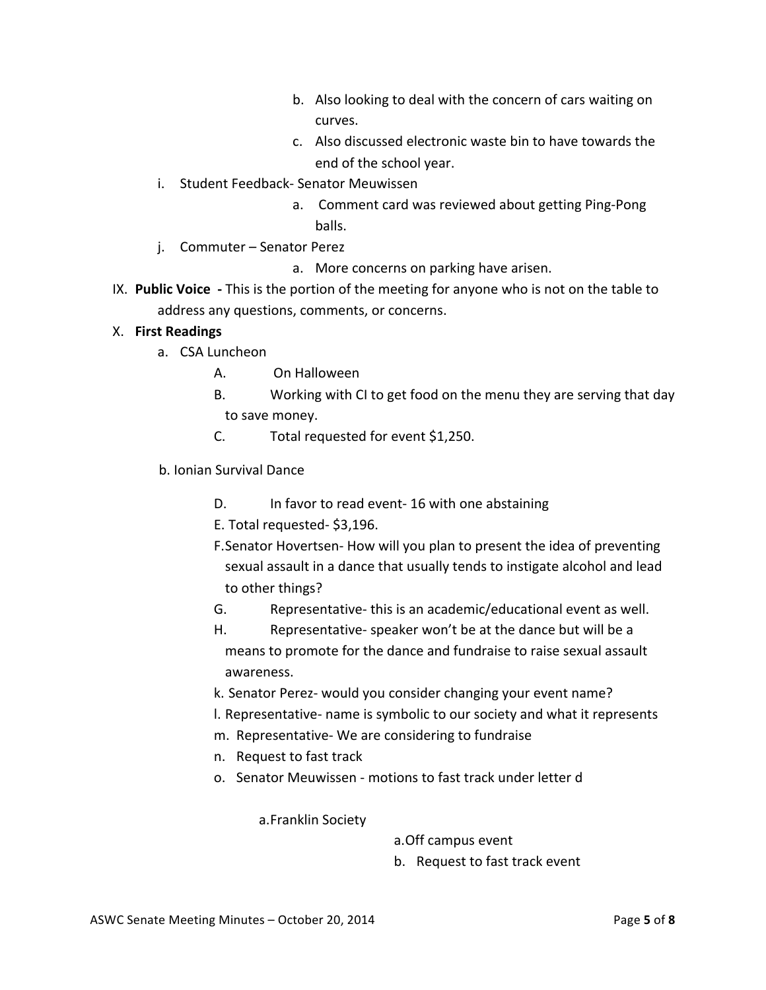- b. Also looking to deal with the concern of cars waiting on curves.
- c. Also discussed electronic waste bin to have towards the end of the school year.
- i. Student Feedback- Senator Meuwissen
	- a. Comment card was reviewed about getting Ping-Pong balls.
- j. Commuter Senator Perez
	- a. More concerns on parking have arisen.
- IX. Public Voice This is the portion of the meeting for anyone who is not on the table to address any questions, comments, or concerns.

## X. **First Readings**

- a. CSA Luncheon
	- A. On Halloween
	- B. Working with CI to get food on the menu they are serving that day to save money.
	- C. Total requested for event \$1,250.
- b. Ionian Survival Dance
	- D. In favor to read event- 16 with one abstaining
	- E. Total requested- \$3,196.
	- F.Senator Hovertsen- How will you plan to present the idea of preventing sexual assault in a dance that usually tends to instigate alcohol and lead to other things?
	- G. Representative- this is an academic/educational event as well.
	- H. Representative- speaker won't be at the dance but will be a means to promote for the dance and fundraise to raise sexual assault awareness.
	- k. Senator Perez- would you consider changing your event name?
	- I. Representative- name is symbolic to our society and what it represents
	- m. Representative- We are considering to fundraise
	- n. Request to fast track
	- o. Senator Meuwissen motions to fast track under letter d

a.Franklin Society

a. Off campus event

b. Request to fast track event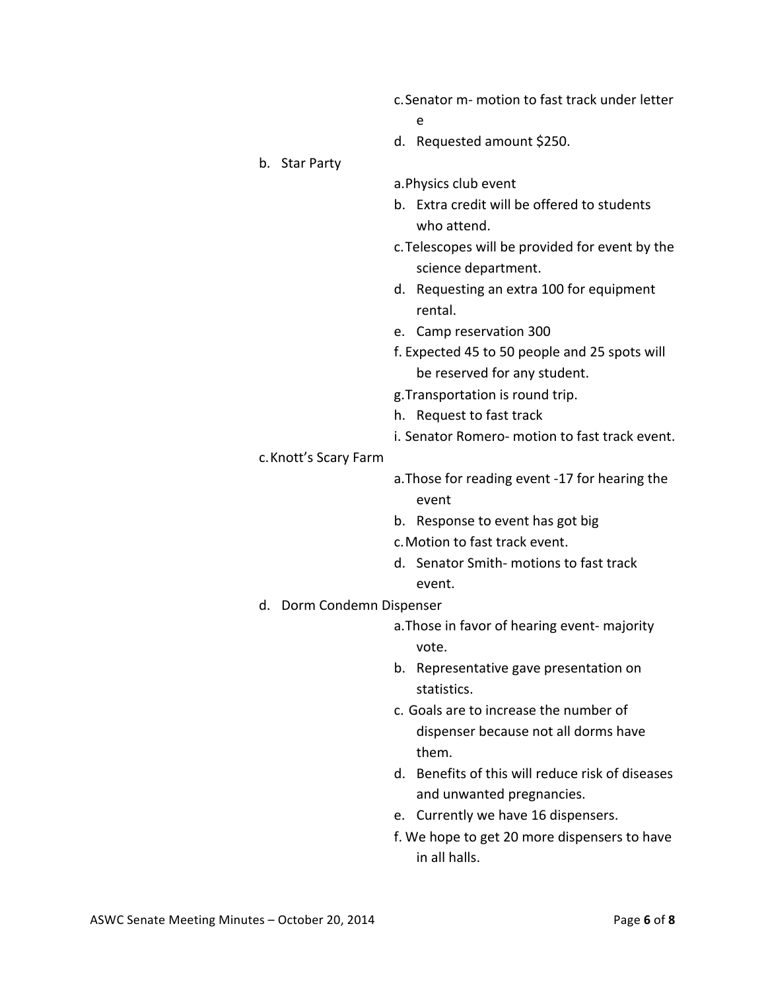- c. Senator m- motion to fast track under letter
	- e
- d. Requested amount \$250.
- b. Star Party
- a. Physics club event
- b. Extra credit will be offered to students who attend.
- c. Telescopes will be provided for event by the science department.
- d. Requesting an extra 100 for equipment rental.
- e. Camp reservation 300
- f. Expected 45 to 50 people and 25 spots will be reserved for any student.
- g. Transportation is round trip.
- h. Request to fast track
- i. Senator Romero- motion to fast track event.

#### c.Knott's Scary Farm

- a. Those for reading event -17 for hearing the event
- b. Response to event has got big
- c. Motion to fast track event.
- d. Senator Smith- motions to fast track event.
- d. Dorm Condemn Dispenser
	- a. Those in favor of hearing event- majority vote.
	- b. Representative gave presentation on statistics.
	- c. Goals are to increase the number of dispenser because not all dorms have them.
	- d. Benefits of this will reduce risk of diseases and unwanted pregnancies.
	- e. Currently we have 16 dispensers.
	- f. We hope to get 20 more dispensers to have in all halls.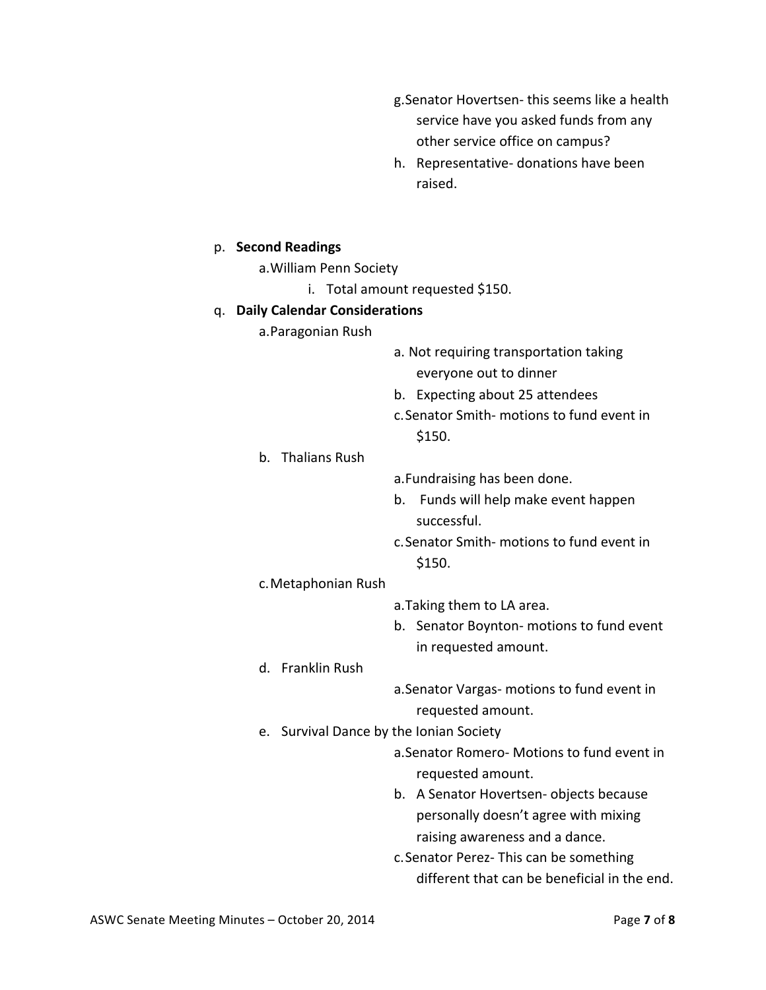- g. Senator Hovertsen- this seems like a health service have you asked funds from any other service office on campus?
- h. Representative- donations have been raised.

#### p. **Second Readings**

- a.William Penn Society
	- i. Total amount requested \$150.

#### q. **Daily Calendar Considerations**

- a.Paragonian Rush
- a. Not requiring transportation taking everyone out to dinner
- b. Expecting about 25 attendees
- c. Senator Smith- motions to fund event in \$150.
- b. Thalians Rush
- a. Fundraising has been done.
- b. Funds will help make event happen successful.
- c. Senator Smith- motions to fund event in \$150.

#### c.Metaphonian Rush

- a. Taking them to LA area.
- b. Senator Boynton- motions to fund event in requested amount.
- d. Franklin Rush
	- a. Senator Vargas- motions to fund event in requested amount.
- e. Survival Dance by the Ionian Society
	- a.Senator Romero- Motions to fund event in requested amount.
	- b. A Senator Hovertsen- objects because personally doesn't agree with mixing raising awareness and a dance.
	- c. Senator Perez- This can be something different that can be beneficial in the end.